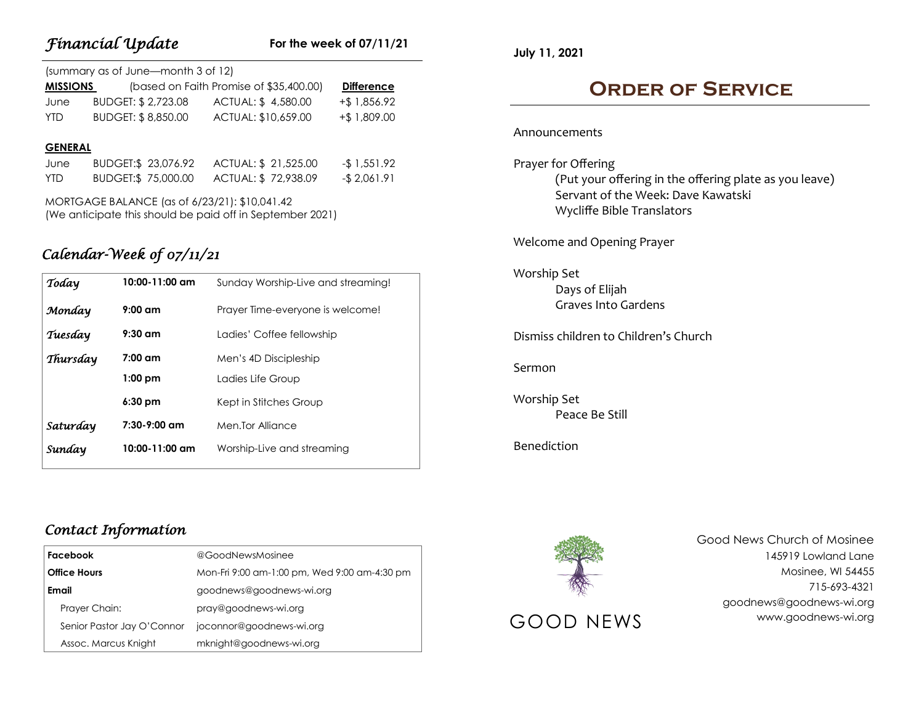## **For the week of 07/11/21**

| (summary as of June-month 3 of 12) |                     |                                         |                   |  |  |
|------------------------------------|---------------------|-----------------------------------------|-------------------|--|--|
| <b>MISSIONS</b>                    |                     | (based on Faith Promise of \$35,400.00) | <b>Difference</b> |  |  |
| June                               | BUDGET: \$ 2,723.08 | ACTUAL: \$4,580.00                      | $+$ \$ 1,856.92   |  |  |
| YTD.                               | BUDGET: \$8,850.00  | ACTUAL: \$10,659.00                     | $+$ \$ 1,809.00   |  |  |

#### **GENERAL**

| June       | BUDGET:\$ 23,076.92 | ACTUAL: \$ 21,525.00 | -\$ 1,551.92 |
|------------|---------------------|----------------------|--------------|
| <b>YTD</b> | BUDGET:\$ 75,000.00 | ACTUAL: \$72,938.09  | -\$2,061.91  |

MORTGAGE BALANCE (as of 6/23/21): \$10,041.42 (We anticipate this should be paid off in September 2021)

# *Calendar-Week of 07/11/21*

| Today    | 10:00-11:00 am | Sunday Worship-Live and streaming! |
|----------|----------------|------------------------------------|
| Monday   | $9:00$ am      | Prayer Time-everyone is welcome!   |
| Tuesday  | $9:30$ am      | Ladies' Coffee fellowship          |
| Thursday | $7:00$ am      | Men's 4D Discipleship              |
|          | $1:00$ pm      | Ladies Life Group                  |
|          | $6:30$ pm      | Kept in Stitches Group             |
| Saturday | $7:30-9:00$ am | Men.Tor Alliance                   |
| Sunday   | 10:00-11:00 am | Worship-Live and streaming         |

**July 11, 2021**

# **Order of Service**

#### Announcements

Prayer for Offering (Put your offering in the offering plate as you leave) Servant of the Week: Dave Kawatski Wycliffe Bible Translators

Welcome and Opening Prayer

### Worship Set Days of Elijah Graves Into Gardens

Dismiss children to Children's Church

Sermon

Worship Set Peace Be Still

Benediction



Good News Church of Mosinee 145919 Lowland Lane Mosinee, WI 54455 715-693-4321 goodnews@goodnews-wi.org GOOD NEWS www.goodnews-wi.org

## *Contact Information*

| <b>Facebook</b><br><b>Office Hours</b><br>Email |                            | @GoodNewsMosinee                             |
|-------------------------------------------------|----------------------------|----------------------------------------------|
|                                                 |                            | Mon-Fri 9:00 am-1:00 pm, Wed 9:00 am-4:30 pm |
|                                                 |                            | goodnews@goodnews-wi.org                     |
|                                                 | Prayer Chain:              | pray@goodnews-wi.org                         |
|                                                 | Senior Pastor Jay O'Connor | joconnor@goodnews-wi.org                     |
|                                                 | Assoc. Marcus Knight       | mknight@goodnews-wi.org                      |